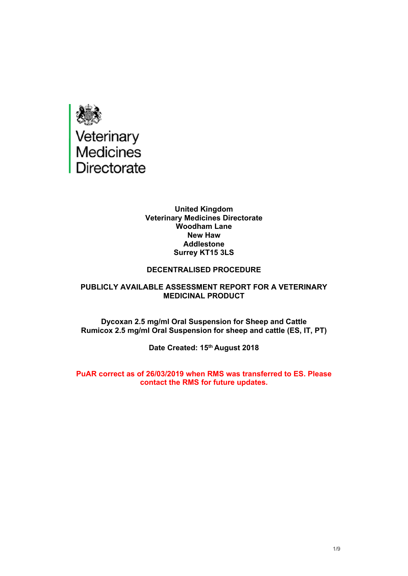

#### **United Kingdom Veterinary Medicines Directorate Woodham Lane New Haw Addlestone Surrey KT15 3LS**

#### **DECENTRALISED PROCEDURE**

#### **PUBLICLY AVAILABLE ASSESSMENT REPORT FOR A VETERINARY MEDICINAL PRODUCT**

**Dycoxan 2.5 mg/ml Oral Suspension for Sheep and Cattle Rumicox 2.5 mg/ml Oral Suspension for sheep and cattle (ES, IT, PT)**

**Date Created: 15th August 2018**

**PuAR correct as of 26/03/2019 when RMS was transferred to ES. Please contact the RMS for future updates.**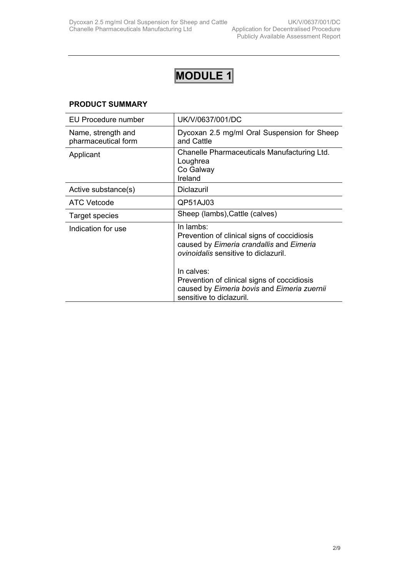# **MODULE 1**

## **PRODUCT SUMMARY**

| UK/V/0637/001/DC                                                                                                                                                                                                                                                                            |
|---------------------------------------------------------------------------------------------------------------------------------------------------------------------------------------------------------------------------------------------------------------------------------------------|
| Dycoxan 2.5 mg/ml Oral Suspension for Sheep<br>and Cattle                                                                                                                                                                                                                                   |
| Chanelle Pharmaceuticals Manufacturing Ltd.<br>Loughrea<br>Co Galway<br>Ireland                                                                                                                                                                                                             |
| <b>Diclazuril</b>                                                                                                                                                                                                                                                                           |
| QP51AJ03                                                                                                                                                                                                                                                                                    |
| Sheep (lambs), Cattle (calves)                                                                                                                                                                                                                                                              |
| In lambs:<br>Prevention of clinical signs of coccidiosis<br>caused by Eimeria crandallis and Eimeria<br><i>ovinoidalis</i> sensitive to diclazuril.<br>In calves:<br>Prevention of clinical signs of coccidiosis<br>caused by Eimeria bovis and Eimeria zuernii<br>sensitive to diclazuril. |
|                                                                                                                                                                                                                                                                                             |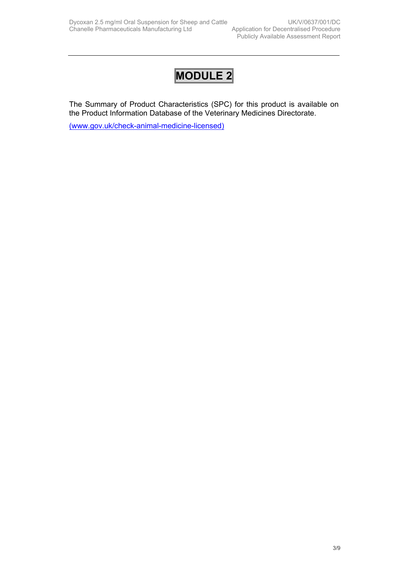## **MODULE 2**

The Summary of Product Characteristics (SPC) for this product is available on the Product Information Database of the Veterinary Medicines Directorate.

[\(www.gov.uk/check-animal-medicine-licensed\)](https://www.gov.uk/check-animal-medicine-licensed)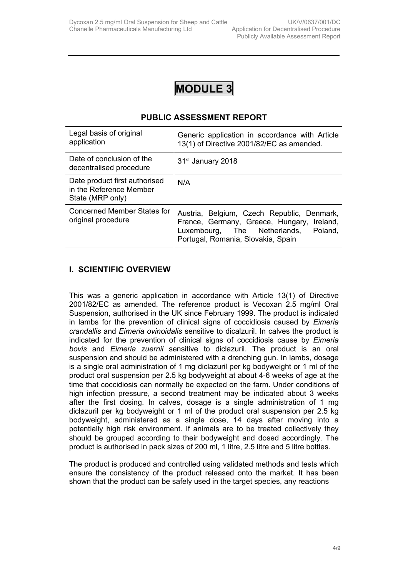

## **PUBLIC ASSESSMENT REPORT**

| Legal basis of original<br>application                                       | Generic application in accordance with Article<br>13(1) of Directive 2001/82/EC as amended.                                                                               |
|------------------------------------------------------------------------------|---------------------------------------------------------------------------------------------------------------------------------------------------------------------------|
| Date of conclusion of the<br>decentralised procedure                         | 31 <sup>st</sup> January 2018                                                                                                                                             |
| Date product first authorised<br>in the Reference Member<br>State (MRP only) | N/A                                                                                                                                                                       |
| Concerned Member States for<br>original procedure                            | Austria, Belgium, Czech Republic, Denmark,<br>France, Germany, Greece, Hungary, Ireland,<br>Luxembourg, The Netherlands,<br>Poland,<br>Portugal, Romania, Slovakia, Spain |

## **I. SCIENTIFIC OVERVIEW**

This was a generic application in accordance with Article 13(1) of Directive 2001/82/EC as amended. The reference product is Vecoxan 2.5 mg/ml Oral Suspension, authorised in the UK since February 1999. The product is indicated in lambs for the prevention of clinical signs of coccidiosis caused by *Eimeria crandallis* and *Eimeria ovinoidalis* sensitive to dicalzuril. In calves the product is indicated for the prevention of clinical signs of coccidiosis cause by *Eimeria bovis* and *Eimeria zuernii* sensitive to diclazuril. The product is an oral suspension and should be administered with a drenching gun. In lambs, dosage is a single oral administration of 1 mg diclazuril per kg bodyweight or 1 ml of the product oral suspension per 2.5 kg bodyweight at about 4-6 weeks of age at the time that coccidiosis can normally be expected on the farm. Under conditions of high infection pressure, a second treatment may be indicated about 3 weeks after the first dosing. In calves, dosage is a single administration of 1 mg diclazuril per kg bodyweight or 1 ml of the product oral suspension per 2.5 kg bodyweight, administered as a single dose, 14 days after moving into a potentially high risk environment. If animals are to be treated collectively they should be grouped according to their bodyweight and dosed accordingly. The product is authorised in pack sizes of 200 ml, 1 litre, 2.5 litre and 5 litre bottles.

The product is produced and controlled using validated methods and tests which ensure the consistency of the product released onto the market. It has been shown that the product can be safely used in the target species, any reactions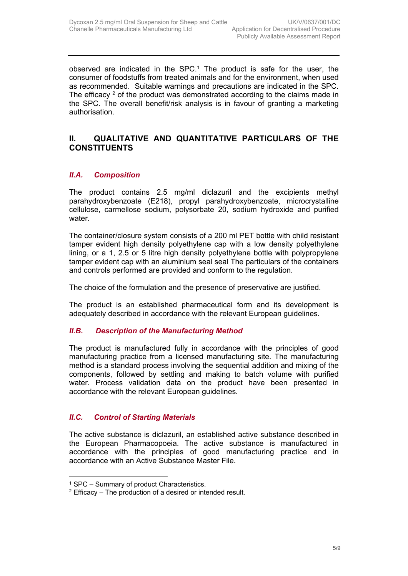observed are indicated in the  $SPC<sup>1</sup>$ . The product is safe for the user, the consumer of foodstuffs from treated animals and for the environment, when used as recommended. Suitable warnings and precautions are indicated in the SPC. The efficacy  $2$  of the product was demonstrated according to the claims made in the SPC. The overall benefit/risk analysis is in favour of granting a marketing authorisation.

## **II. QUALITATIVE AND QUANTITATIVE PARTICULARS OF THE CONSTITUENTS**

## *II.A. Composition*

The product contains 2.5 mg/ml diclazuril and the excipients methyl parahydroxybenzoate (E218), propyl parahydroxybenzoate, microcrystalline cellulose, carmellose sodium, polysorbate 20, sodium hydroxide and purified water.

The container/closure system consists of a 200 ml PET bottle with child resistant tamper evident high density polyethylene cap with a low density polyethylene lining, or a 1, 2.5 or 5 litre high density polyethylene bottle with polypropylene tamper evident cap with an aluminium seal seal The particulars of the containers and controls performed are provided and conform to the regulation.

The choice of the formulation and the presence of preservative are justified.

The product is an established pharmaceutical form and its development is adequately described in accordance with the relevant European guidelines.

## *II.B. Description of the Manufacturing Method*

The product is manufactured fully in accordance with the principles of good manufacturing practice from a licensed manufacturing site*.* The manufacturing method is a standard process involving the sequential addition and mixing of the components, followed by settling and making to batch volume with purified water. Process validation data on the product have been presented in accordance with the relevant European guidelines*.* 

## *II.C. Control of Starting Materials*

The active substance is diclazuril, an established active substance described in the European Pharmacopoeia. The active substance is manufactured in accordance with the principles of good manufacturing practice and in accordance with an Active Substance Master File.

<sup>1</sup> SPC – Summary of product Characteristics.

 $2$  Efficacy – The production of a desired or intended result.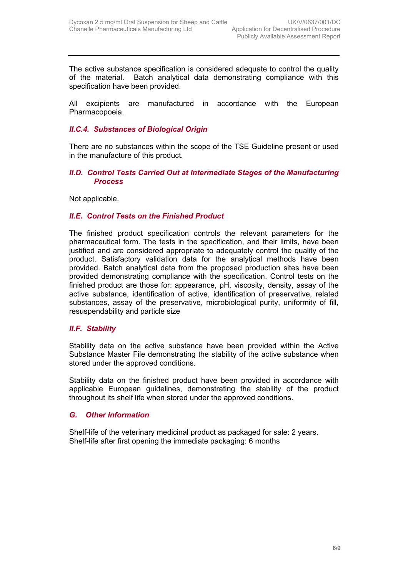The active substance specification is considered adequate to control the quality of the material. Batch analytical data demonstrating compliance with this specification have been provided.

All excipients are manufactured in accordance with the European Pharmacopoeia.

## *II.C.4. Substances of Biological Origin*

There are no substances within the scope of the TSE Guideline present or used in the manufacture of this product*.*

#### **II.D. Control Tests Carried Out at Intermediate Stages of the Manufacturing** *Process*

Not applicable.

#### *II.E. Control Tests on the Finished Product*

The finished product specification controls the relevant parameters for the pharmaceutical form. The tests in the specification, and their limits, have been justified and are considered appropriate to adequately control the quality of the product. Satisfactory validation data for the analytical methods have been provided. Batch analytical data from the proposed production sites have been provided demonstrating compliance with the specification. Control tests on the finished product are those for: appearance, pH, viscosity, density, assay of the active substance, identification of active, identification of preservative, related substances, assay of the preservative, microbiological purity, uniformity of fill, resuspendability and particle size

### *II.F. Stability*

Stability data on the active substance have been provided within the Active Substance Master File demonstrating the stability of the active substance when stored under the approved conditions.

Stability data on the finished product have been provided in accordance with applicable European guidelines, demonstrating the stability of the product throughout its shelf life when stored under the approved conditions.

#### *G. Other Information*

Shelf-life of the veterinary medicinal product as packaged for sale: 2 years. Shelf-life after first opening the immediate packaging: 6 months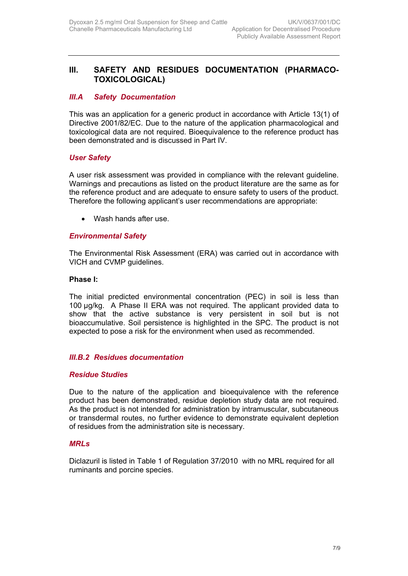## **III. SAFETY AND RESIDUES DOCUMENTATION (PHARMACO-TOXICOLOGICAL)**

## *III.A Safety Documentation*

This was an application for a generic product in accordance with Article 13(1) of Directive 2001/82/EC. Due to the nature of the application pharmacological and toxicological data are not required. Bioequivalence to the reference product has been demonstrated and is discussed in Part IV.

### *User Safety*

A user risk assessment was provided in compliance with the relevant guideline. Warnings and precautions as listed on the product literature are the same as for the reference product and are adequate to ensure safety to users of the product. Therefore the following applicant's user recommendations are appropriate:

• Wash hands after use.

## *Environmental Safety*

The Environmental Risk Assessment (ERA) was carried out in accordance with VICH and CVMP guidelines.

#### **Phase I:**

The initial predicted environmental concentration (PEC) in soil is less than 100 µg/kg. A Phase II ERA was not required. The applicant provided data to show that the active substance is very persistent in soil but is not bioaccumulative. Soil persistence is highlighted in the SPC. The product is not expected to pose a risk for the environment when used as recommended.

### *III.B.2 Residues documentation*

### *Residue Studies*

Due to the nature of the application and bioequivalence with the reference product has been demonstrated, residue depletion study data are not required. As the product is not intended for administration by intramuscular, subcutaneous or transdermal routes, no further evidence to demonstrate equivalent depletion of residues from the administration site is necessary.

### *MRLs*

Diclazuril is listed in Table 1 of Regulation 37/2010 with no MRL required for all ruminants and porcine species.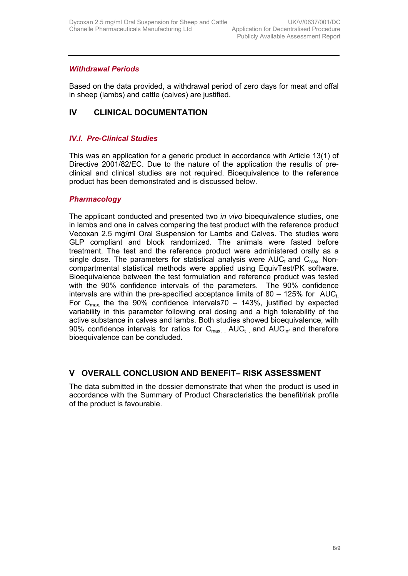## *Withdrawal Periods*

Based on the data provided, a withdrawal period of zero days for meat and offal in sheep (lambs) and cattle (calves) are justified.

## **IV CLINICAL DOCUMENTATION**

## *IV.I. Pre-Clinical Studies*

This was an application for a generic product in accordance with Article 13(1) of Directive 2001/82/EC. Due to the nature of the application the results of preclinical and clinical studies are not required. Bioequivalence to the reference product has been demonstrated and is discussed below.

#### *Pharmacology*

The applicant conducted and presented two *in vivo* bioequivalence studies, one in lambs and one in calves comparing the test product with the reference product Vecoxan 2.5 mg/ml Oral Suspension for Lambs and Calves. The studies were GLP compliant and block randomized. The animals were fasted before treatment. The test and the reference product were administered orally as a single dose. The parameters for statistical analysis were  $AUC<sub>t</sub>$  and  $C<sub>max</sub>$  Noncompartmental statistical methods were applied using EquivTest/PK software. Bioequivalence between the test formulation and reference product was tested with the 90% confidence intervals of the parameters. The 90% confidence intervals are within the pre-specified acceptance limits of 80 – 125% for  $AUC_t$ . For  $C_{\text{max}}$  the the 90% confidence intervals70 – 143%, justified by expected variability in this parameter following oral dosing and a high tolerability of the active substance in calves and lambs. Both studies showed bioequivalence, with 90% confidence intervals for ratios for  $C_{\text{max}}$  AUC<sub>t</sub> and AUC<sub>inf</sub> and therefore bioequivalence can be concluded.

## **V OVERALL CONCLUSION AND BENEFIT– RISK ASSESSMENT**

The data submitted in the dossier demonstrate that when the product is used in accordance with the Summary of Product Characteristics the benefit/risk profile of the product is favourable.